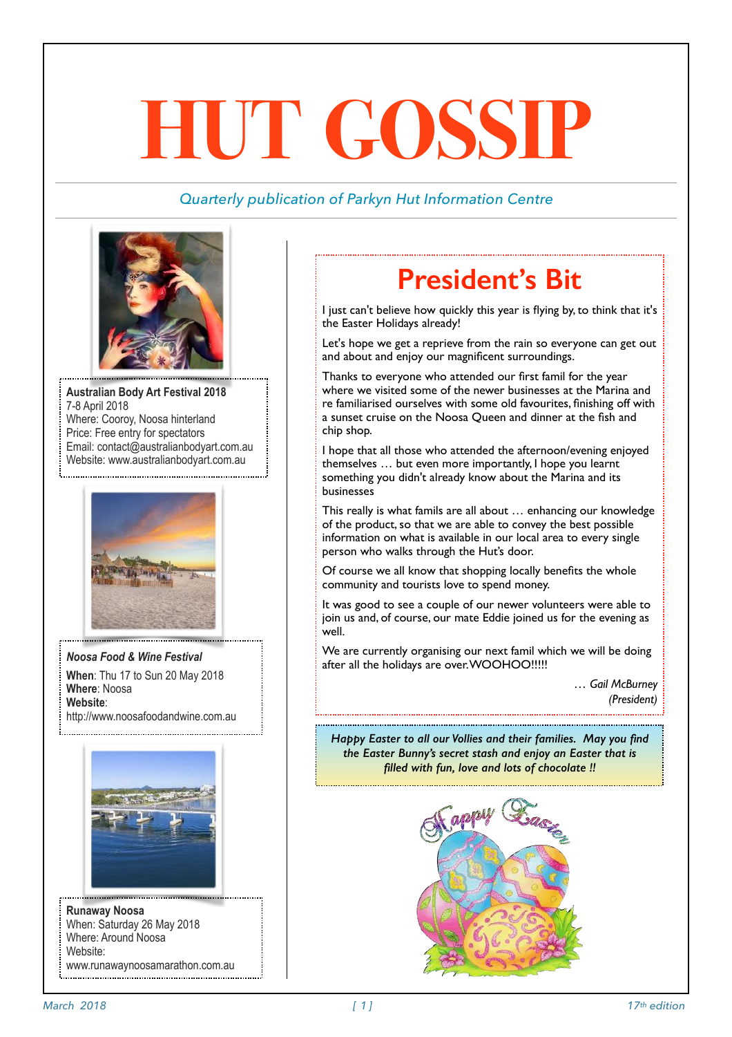# **HUT GOSSIP**

#### *Quarterly publication of Parkyn Hut Information Centre*



**Australian Body Art Festival 2018**  7-8 April 2018 Where: Cooroy, Noosa hinterland Price: Free entry for spectators Email: contact@australianbodyart.com.au Website: [www.australianbodyart.com.au](http://www.australianbodyart.com.au/)



*Noosa Food & Wine Festival*  **When**: Thu 17 to Sun 20 May 2018 **Where**: Noosa **Website**: http://www.noosafoodandwine.com.au



**Runaway Noosa**  When: Saturday 26 May 2018 Where: Around Noosa Website: [www.runawaynoosamarathon.com.au](http://www.runawaynoosamarathon.com.au/)

### **President's Bit**

I just can't believe how quickly this year is flying by, to think that it's the Easter Holidays already!

Let's hope we get a reprieve from the rain so everyone can get out and about and enjoy our magnificent surroundings.

Thanks to everyone who attended our first famil for the year where we visited some of the newer businesses at the Marina and re familiarised ourselves with some old favourites, finishing off with a sunset cruise on the Noosa Queen and dinner at the fish and chip shop.

I hope that all those who attended the afternoon/evening enjoyed themselves … but even more importantly, I hope you learnt something you didn't already know about the Marina and its businesses

This really is what famils are all about … enhancing our knowledge of the product, so that we are able to convey the best possible information on what is available in our local area to every single person who walks through the Hut's door.

Of course we all know that shopping locally benefits the whole community and tourists love to spend money.

It was good to see a couple of our newer volunteers were able to join us and, of course, our mate Eddie joined us for the evening as well.

We are currently organising our next famil which we will be doing after all the holidays are over. WOOHOO!!!!!

> *… Gail McBurney (President)*

*Happy Easter to all our Vollies and their families. May you find the Easter Bunny's secret stash and enjoy an Easter that is filled with fun, love and lots of chocolate !!*

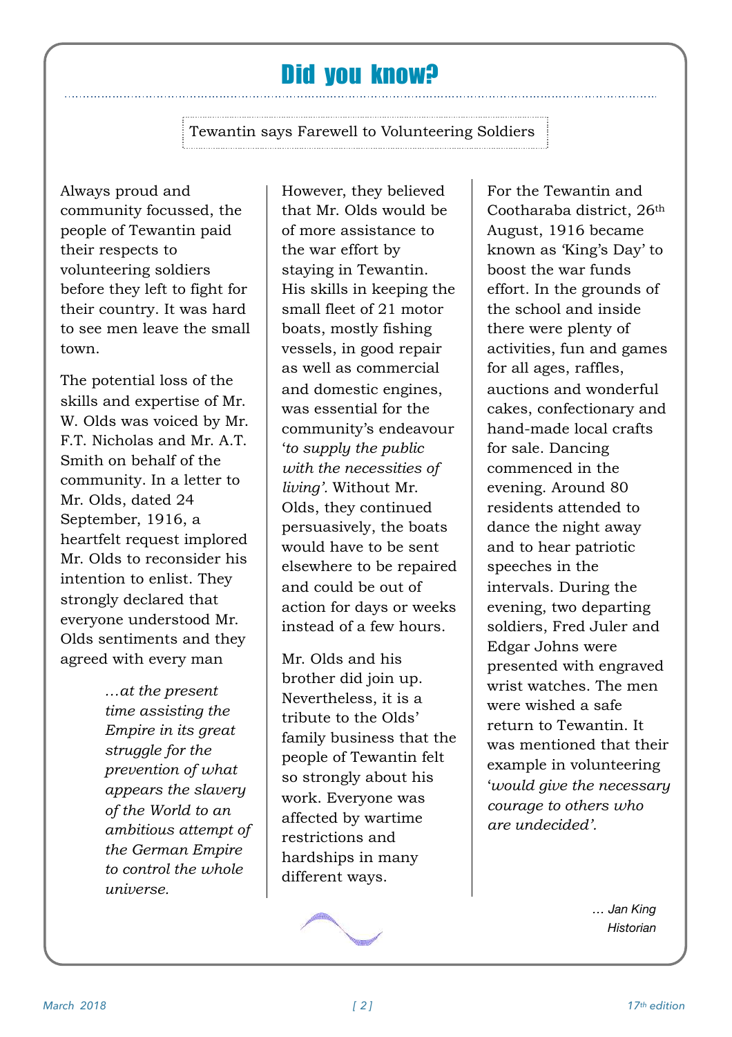#### Did you know?

Tewantin says Farewell to Volunteering Soldiers

Always proud and community focussed, the people of Tewantin paid their respects to volunteering soldiers before they left to fight for their country. It was hard to see men leave the small town.

The potential loss of the skills and expertise of Mr. W. Olds was voiced by Mr. F.T. Nicholas and Mr. A.T. Smith on behalf of the community. In a letter to Mr. Olds, dated 24 September, 1916, a heartfelt request implored Mr. Olds to reconsider his intention to enlist. They strongly declared that everyone understood Mr. Olds sentiments and they agreed with every man

> *…at the present time assisting the Empire in its great struggle for the prevention of what appears the slavery of the World to an ambitious attempt of the German Empire to control the whole universe.*

However, they believed that Mr. Olds would be of more assistance to the war effort by staying in Tewantin. His skills in keeping the small fleet of 21 motor boats, mostly fishing vessels, in good repair as well as commercial and domestic engines, was essential for the community's endeavour '*to supply the public with the necessities of living'.* Without Mr. Olds, they continued persuasively, the boats would have to be sent elsewhere to be repaired and could be out of action for days or weeks instead of a few hours.

Mr. Olds and his brother did join up. Nevertheless, it is a tribute to the Olds' family business that the people of Tewantin felt so strongly about his work. Everyone was affected by wartime restrictions and hardships in many different ways.



For the Tewantin and Cootharaba district, 26th August, 1916 became known as 'King's Day' to boost the war funds effort. In the grounds of the school and inside there were plenty of activities, fun and games for all ages, raffles, auctions and wonderful cakes, confectionary and hand-made local crafts for sale. Dancing commenced in the evening. Around 80 residents attended to dance the night away and to hear patriotic speeches in the intervals. During the evening, two departing soldiers, Fred Juler and Edgar Johns were presented with engraved wrist watches. The men were wished a safe return to Tewantin. It was mentioned that their example in volunteering '*would give the necessary courage to others who are undecided'.* 

> *… Jan King Historian*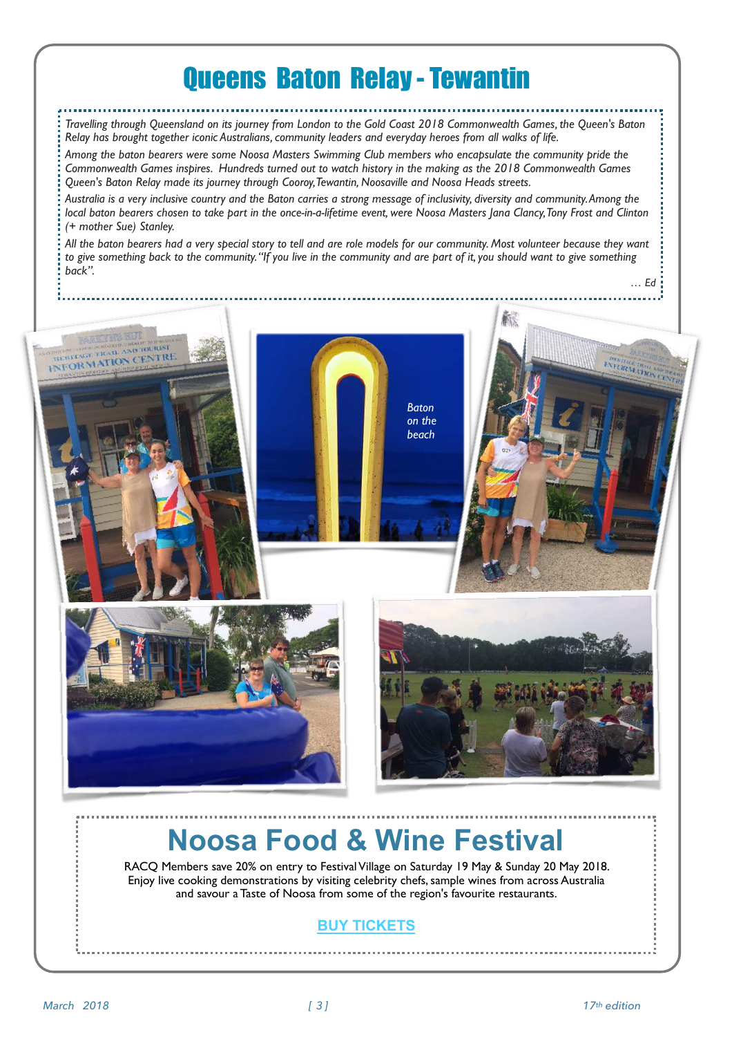#### Queens Baton Relay - Tewantin

*Travelling through Queensland on its journey from London to the Gold Coast 2018 Commonwealth Games, the Queen's Baton Relay has brought together iconic Australians, community leaders and everyday heroes from all walks of life.* 

*Among the baton bearers were some Noosa Masters Swimming Club members who encapsulate the community pride the Commonwealth Games inspires. Hundreds turned out to watch history in the making as the 2018 Commonwealth Games Queen's Baton Relay made its journey through Cooroy, Tewantin, Noosaville and Noosa Heads streets.*

*Australia is a very inclusive country and the Baton carries a strong message of inclusivity, diversity and community. Among the local baton bearers chosen to take part in the once-in-a-lifetime event, were Noosa Masters Jana Clancy, Tony Frost and Clinton (+ mother Sue) Stanley.*

*All the baton bearers had a very special story to tell and are role models for our community. Most volunteer because they want to give something back to the community. "If you live in the community and are part of it, you should want to give something back".*





HERITAGE TRAIL AND TOURIS INFORMATION CENTRE



### **Noosa Food & Wine Festival**

RACQ Members save 20% on entry to Festival Village on Saturday 19 May & Sunday 20 May 2018. Enjoy live cooking demonstrations by visiting celebrity chefs, sample wines from across Australia and savour a Taste of Noosa from some of the region's favourite restaurants.

#### **[BUY TICKETS](http://click.email.racq.com.au/?qs=8e18afb99d39760688321a996cad52f9ab39c61a030b785be04d531c552de785d06b37899cce8651342e4e82e75f0894d64a5a69ecaf34a4)**

*… Ed*

**INFORMATION OF THE SECOND CONSUMING**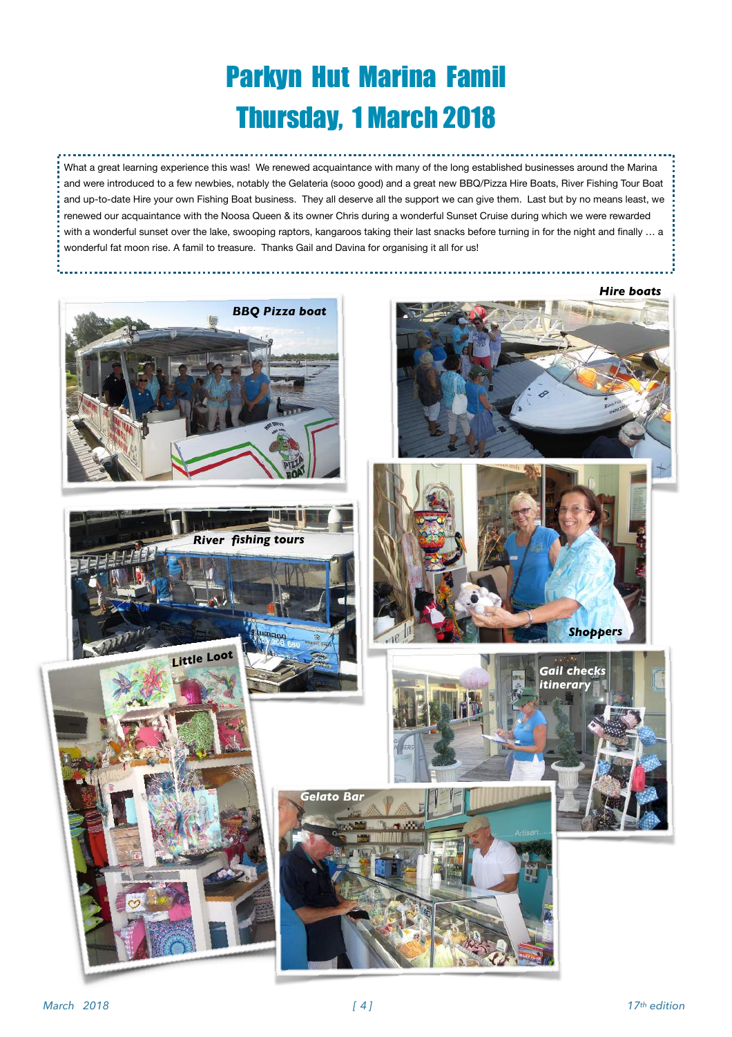## Parkyn Hut Marina Famil Thursday, 1 March 2018

What a great learning experience this was! We renewed acquaintance with many of the long established businesses around the Marina and were introduced to a few newbies, notably the Gelateria (sooo good) and a great new BBQ/Pizza Hire Boats, River Fishing Tour Boat and up-to-date Hire your own Fishing Boat business. They all deserve all the support we can give them. Last but by no means least, we renewed our acquaintance with the Noosa Queen & its owner Chris during a wonderful Sunset Cruise during which we were rewarded with a wonderful sunset over the lake, swooping raptors, kangaroos taking their last snacks before turning in for the night and finally ... a wonderful fat moon rise. A famil to treasure. Thanks Gail and Davina for organising it all for us!

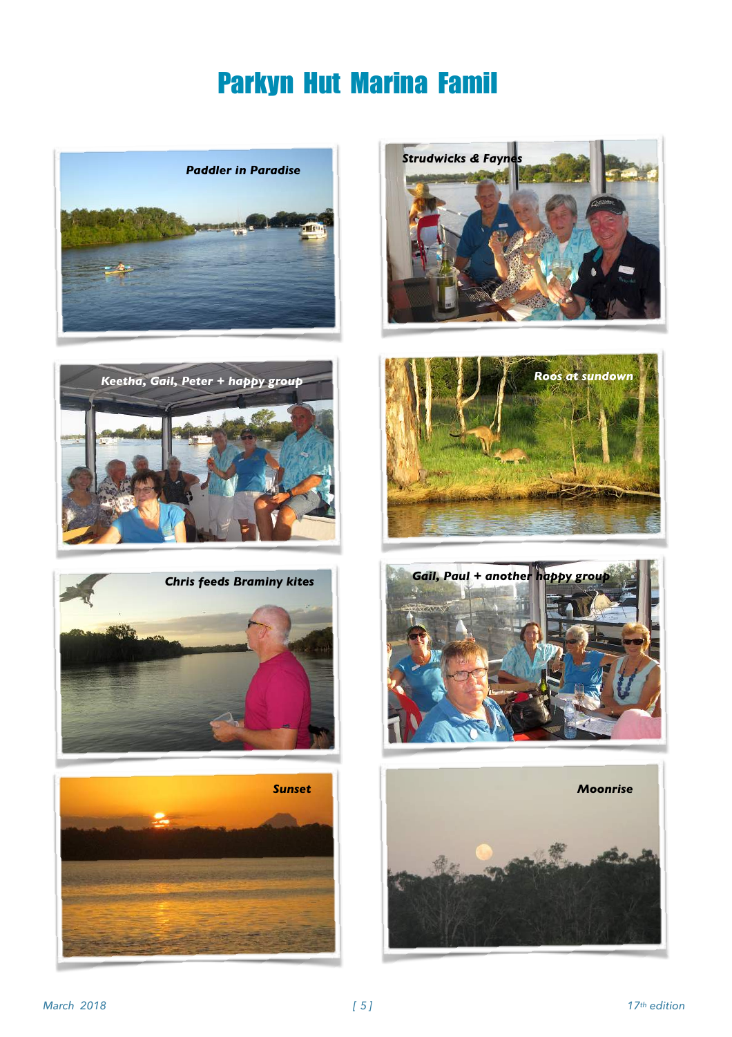### Parkyn Hut Marina Famil















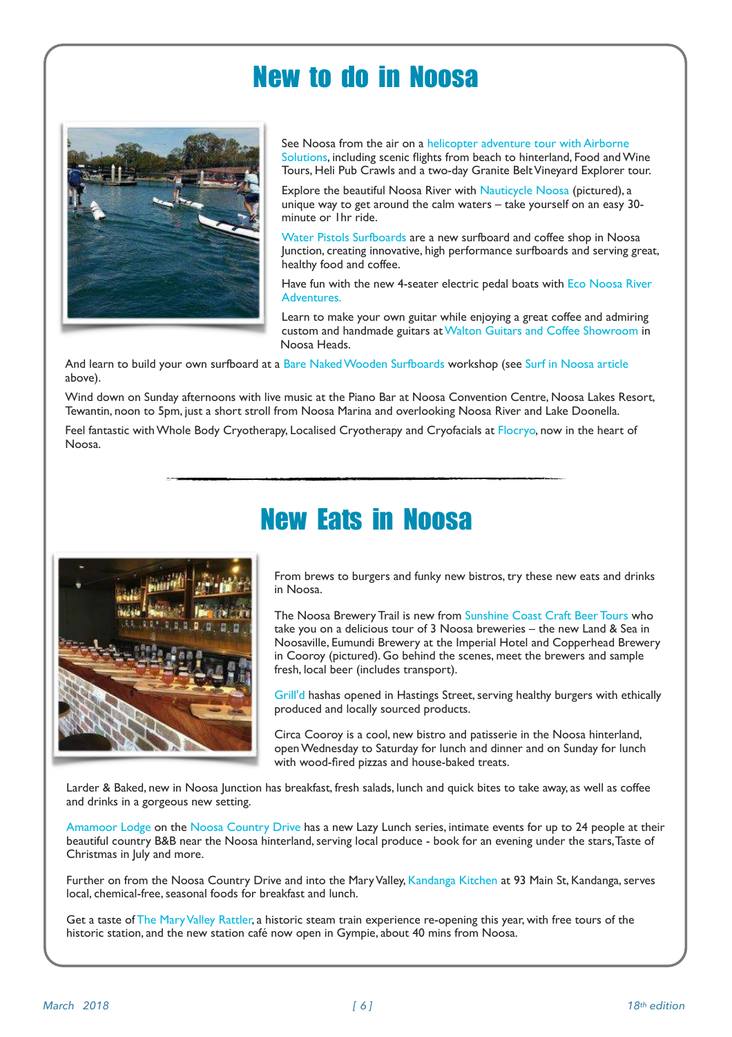#### New to do in Noosa



See Noosa from the air on a [helicopter adventure tour with Airborne](http://www.visitnoosa.com.au/members/airborne-solutions)  [Solutions](http://www.visitnoosa.com.au/members/airborne-solutions), including scenic flights from beach to hinterland, Food and Wine Tours, Heli Pub Crawls and a two-day Granite Belt Vineyard Explorer tour.

Explore the beautiful Noosa River with [Nauticycle Noosa](https://nauticycle.com/) (pictured), a unique way to get around the calm waters – take yourself on an easy 30 minute or 1hr ride.

[Water Pistols Surfboards](https://www.waterpistols.com.au/) are a new surfboard and coffee shop in Noosa Junction, creating innovative, high performance surfboards and serving great, healthy food and coffee.

Have fun with the new 4-seater electric pedal boats with [Eco Noosa River](https://www.facebook.com/MaluOsEcoBoatHire/)  [Adventures.](https://www.facebook.com/MaluOsEcoBoatHire/)

Learn to make your own guitar while enjoying a great coffee and admiring custom and handmade guitars at [Walton Guitars and Coffee Showroom](https://waltonguitarsandcoffeecom.wordpress.com/) in Noosa Heads.

And learn to build your own surfboard at a [Bare Naked Wooden Surfboards](http://www.barenakedboards.com.au/) workshop (see [Surf in Noosa article](http://www.visitnoosa.com.au/discover-noosa-articles/march2018-surf-noosa) above).

Wind down on Sunday afternoons with live music at the Piano Bar at Noosa Convention Centre, Noosa Lakes Resort, Tewantin, noon to 5pm, just a short stroll from Noosa Marina and overlooking Noosa River and Lake Doonella.

Feel fantastic with Whole Body Cryotherapy, Localised Cryotherapy and Cryofacials at [Flocryo](https://flocryo.com.au/), now in the heart of Noosa.



### New Eats in Noosa

From brews to burgers and funky new bistros, try these new eats and drinks in Noosa.

The Noosa Brewery Trail is new from [Sunshine Coast Craft Beer Tours](http://www.visitnoosa.com.au/members/sunshine-coast-craft-beer-tours) who take you on a delicious tour of 3 Noosa breweries – the new Land & Sea in Noosaville, Eumundi Brewery at the Imperial Hotel and Copperhead Brewery in Cooroy (pictured). Go behind the scenes, meet the brewers and sample fresh, local beer (includes transport).

[Grill'd](http://www.visitnoosa.com.au/members/grilld-burgers) hashas opened in Hastings Street, serving healthy burgers with ethically produced and locally sourced products.

Circa Cooroy is a cool, new bistro and patisserie in the Noosa hinterland, open Wednesday to Saturday for lunch and dinner and on Sunday for lunch with wood-fired pizzas and house-baked treats.

Larder & Baked, new in Noosa Junction has breakfast, fresh salads, lunch and quick bites to take away, as well as coffee and drinks in a gorgeous new setting.

[Amamoor Lodge](http://www.visitnoosa.com.au/country-drive-all-listings/amamoor-lodge) on the [Noosa Country Drive](http://www.visitnoosa.com.au/country-drive) has a new Lazy Lunch series, intimate events for up to 24 people at their beautiful country B&B near the Noosa hinterland, serving local produce - book for an evening under the stars, Taste of Christmas in July and more.

Further on from the Noosa Country Drive and into the Mary Valley, [Kandanga Kitchen](http://www.visitnoosa.com.au/country-drive-all-listings/kandanga-kitchen) at 93 Main St, Kandanga, serves local, chemical-free, seasonal foods for breakfast and lunch.

Get a taste of [The Mary Valley Rattler,](http://www.visitnoosa.com.au/members/mary-valley-rattler) a historic steam train experience re-opening this year, with free tours of the historic station, and the new station café now open in Gympie, about 40 mins from Noosa.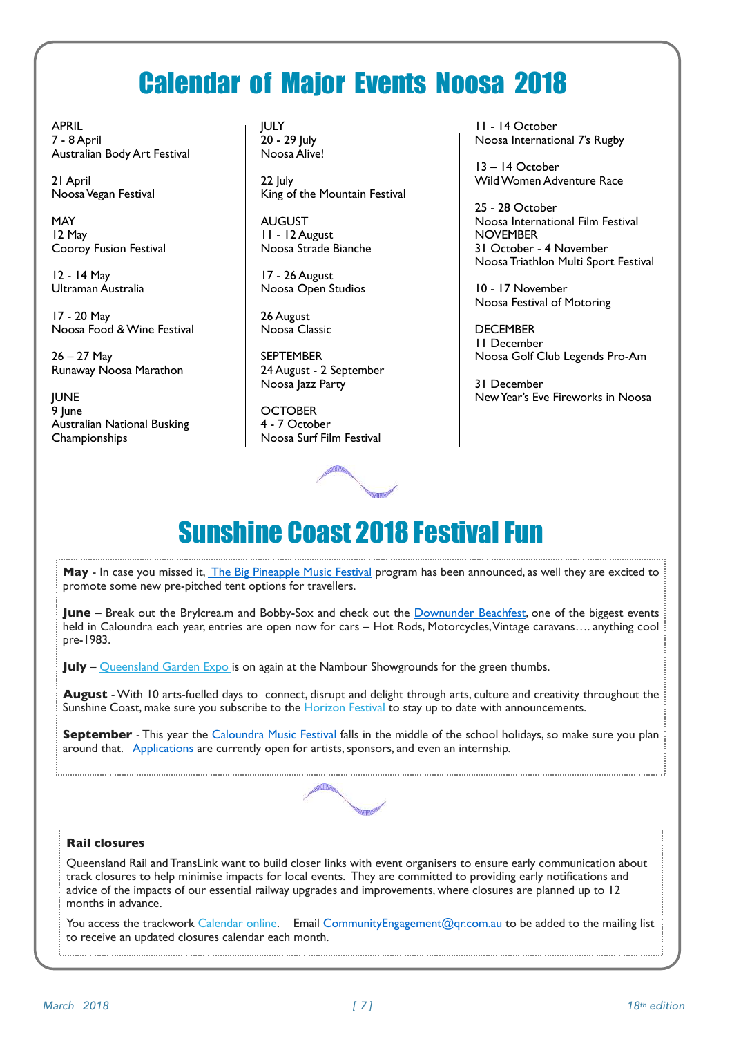#### Calendar of Major Events Noosa 2018

APRIL 7 - 8 April Australian Body Art Festival

21 April Noosa Vegan Festival

MAY 12 May Cooroy Fusion Festival

12 - 14 May Ultraman Australia

17 - 20 May Noosa Food & Wine Festival

26 – 27 May Runaway Noosa Marathon

**JUNE** 9 June Australian National Busking Championships

JULY 20 - 29 July Noosa Alive!

22 July King of the Mountain Festival

AUGUST 11 - 12 August Noosa Strade Bianche

17 - 26 August Noosa Open Studios

26 August Noosa Classic

**SEPTEMBER** 24 August - 2 September Noosa Jazz Party

**OCTOBER** 4 - 7 October Noosa Surf Film Festival



11 - 14 October Noosa International 7's Rugby

13 – 14 October Wild Women Adventure Race

25 - 28 October Noosa International Film Festival NOVEMBER 31 October - 4 November Noosa Triathlon Multi Sport Festival

10 - 17 November Noosa Festival of Motoring

**DECEMBER** 11 December Noosa Golf Club Legends Pro-Am

31 December New Year's Eve Fireworks in Noosa

### Sunshine Coast 2018 Festival Fun

May - In case you missed it, *The Big Pineapple Music Festival* program has been announced, as well they are excited to promote some new pre-pitched tent options for travellers.

**June** – Break out the Brylcrea.m and Bobby-Sox and check out the **Downunder Beachfest**, one of the biggest events held in Caloundra each year, entries are open now for cars – Hot Rods, Motorcycles, Vintage caravans…. anything cool pre-1983.

**July** – [Queensland Garden Expo](https://qld.us5.list-manage.com/track/click?u=9c26a4df735d5503cb9a5e5d6&id=d6fa09f554&e=87493d928b) is on again at the Nambour Showgrounds for the green thumbs.

**August** - With 10 arts-fuelled days to connect, disrupt and delight through arts, culture and creativity throughout the Sunshine Coast, make sure you subscribe to the [Horizon Festival t](https://qld.us5.list-manage.com/track/click?u=9c26a4df735d5503cb9a5e5d6&id=4e8ab2f15f&e=87493d928b)o stay up to date with announcements.

**September** - This year the [Caloundra Music Festival](https://qld.us5.list-manage.com/track/click?u=9c26a4df735d5503cb9a5e5d6&id=95fd0905bb&e=87493d928b) falls in the middle of the school holidays, so make sure you plan around that. [Applications](https://qld.us5.list-manage.com/track/click?u=9c26a4df735d5503cb9a5e5d6&id=80e515a496&e=87493d928b) are currently open for artists, sponsors, and even an internship.



#### **Rail closures**

Queensland Rail and TransLink want to build closer links with event organisers to ensure early communication about track closures to help minimise impacts for local events. They are committed to providing early notifications and advice of the impacts of our essential railway upgrades and improvements, where closures are planned up to 12 months in advance.

You access the trackwork [Calendar online](https://qld.us5.list-manage.com/track/click?u=9c26a4df735d5503cb9a5e5d6&id=f875e57f7e&e=87493d928b). Email [CommunityEngagement@qr.com.au](mailto:CommunityEngagement@qr.com.au) to be added to the mailing list to receive an updated closures calendar each month.